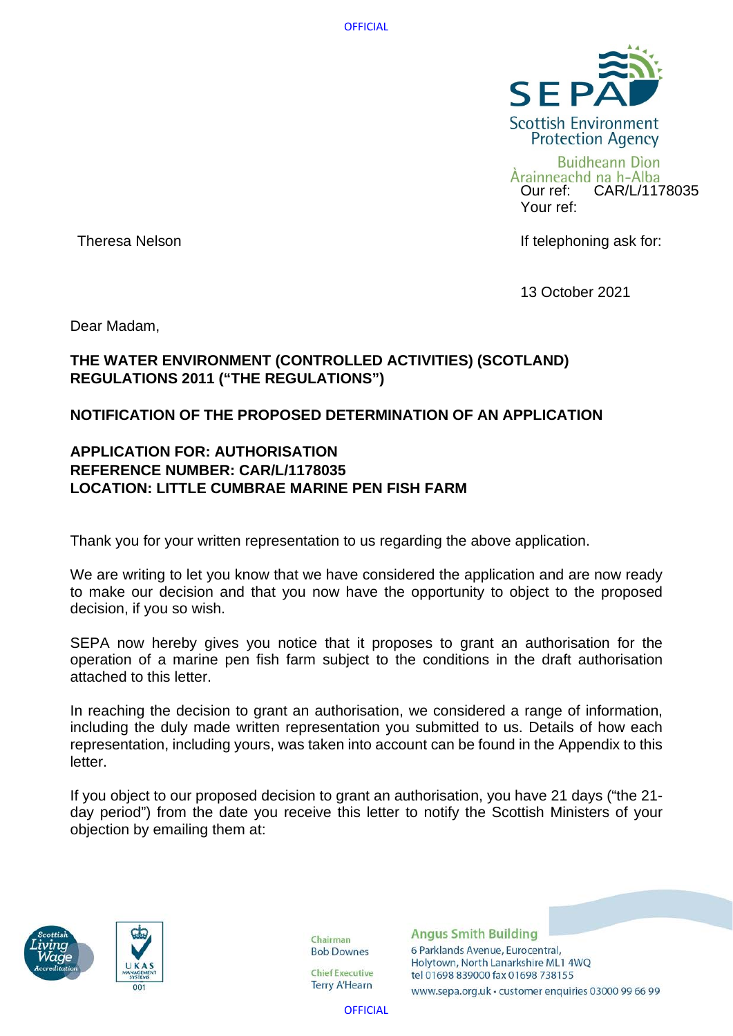

Arainneachd na h-Alba Our ref: CAR/L/1178035 Your ref:

Theresa Nelson **If telephoning ask for:** 

13 October 2021

Dear Madam,

# **THE WATER ENVIRONMENT (CONTROLLED ACTIVITIES) (SCOTLAND) REGULATIONS 2011 ("THE REGULATIONS")**

# **NOTIFICATION OF THE PROPOSED DETERMINATION OF AN APPLICATION**

# **APPLICATION FOR: AUTHORISATION REFERENCE NUMBER: CAR/L/1178035 LOCATION: LITTLE CUMBRAE MARINE PEN FISH FARM**

Thank you for your written representation to us regarding the above application.

We are writing to let you know that we have considered the application and are now ready to make our decision and that you now have the opportunity to object to the proposed decision, if you so wish.

SEPA now hereby gives you notice that it proposes to grant an authorisation for the operation of a marine pen fish farm subject to the conditions in the draft authorisation attached to this letter.

In reaching the decision to grant an authorisation, we considered a range of information, including the duly made written representation you submitted to us. Details of how each representation, including yours, was taken into account can be found in the Appendix to this letter.

If you object to our proposed decision to grant an authorisation, you have 21 days ("the 21 day period") from the date you receive this letter to notify the Scottish Ministers of your objection by emailing them at:





Chairman **Bob Downes** 

**Chief Executive Terry A'Hearn** 

**Angus Smith Building** 6 Parklands Avenue, Eurocentral, Holytown, North Lanarkshire ML1 4WQ tel 01698 839000 fax 01698 738155

www.sepa.org.uk · customer enquiries 03000 99 66 99

**OFFICIAL**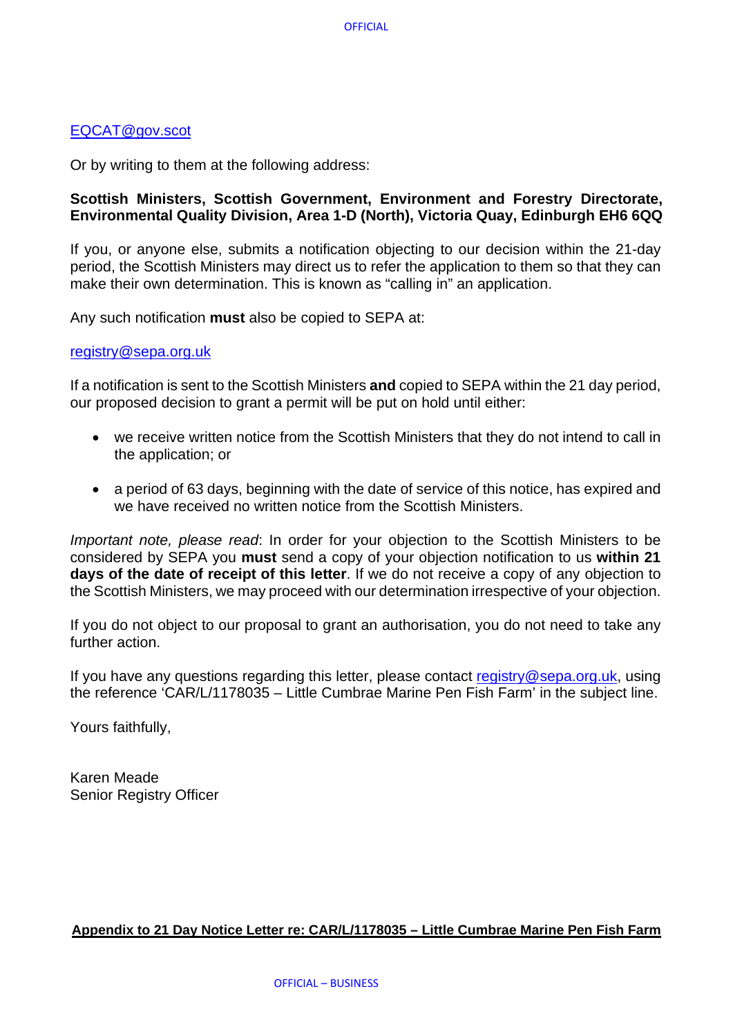## [EQCAT@gov.scot](mailto:EQCAT@gov.scot)

Or by writing to them at the following address:

# **Scottish Ministers, Scottish Government, Environment and Forestry Directorate, Environmental Quality Division, Area 1-D (North), Victoria Quay, Edinburgh EH6 6QQ**

If you, or anyone else, submits a notification objecting to our decision within the 21-day period, the Scottish Ministers may direct us to refer the application to them so that they can make their own determination. This is known as "calling in" an application.

Any such notification **must** also be copied to SEPA at:

## [registry@sepa.org.uk](mailto:registry@sepa.org.uk)

If a notification is sent to the Scottish Ministers **and** copied to SEPA within the 21 day period, our proposed decision to grant a permit will be put on hold until either:

- we receive written notice from the Scottish Ministers that they do not intend to call in the application; or
- a period of 63 days, beginning with the date of service of this notice, has expired and we have received no written notice from the Scottish Ministers.

*Important note, please read*: In order for your objection to the Scottish Ministers to be considered by SEPA you **must** send a copy of your objection notification to us **within 21 days of the date of receipt of this letter**. If we do not receive a copy of any objection to the Scottish Ministers, we may proceed with our determination irrespective of your objection.

If you do not object to our proposal to grant an authorisation, you do not need to take any further action.

If you have any questions regarding this letter, please contact [registry@sepa.org.uk,](mailto:registry@sepa.org.uk) using the reference 'CAR/L/1178035 – Little Cumbrae Marine Pen Fish Farm' in the subject line.

Yours faithfully,

Karen Meade Senior Registry Officer

## **Appendix to 21 Day Notice Letter re: CAR/L/1178035 – Little Cumbrae Marine Pen Fish Farm**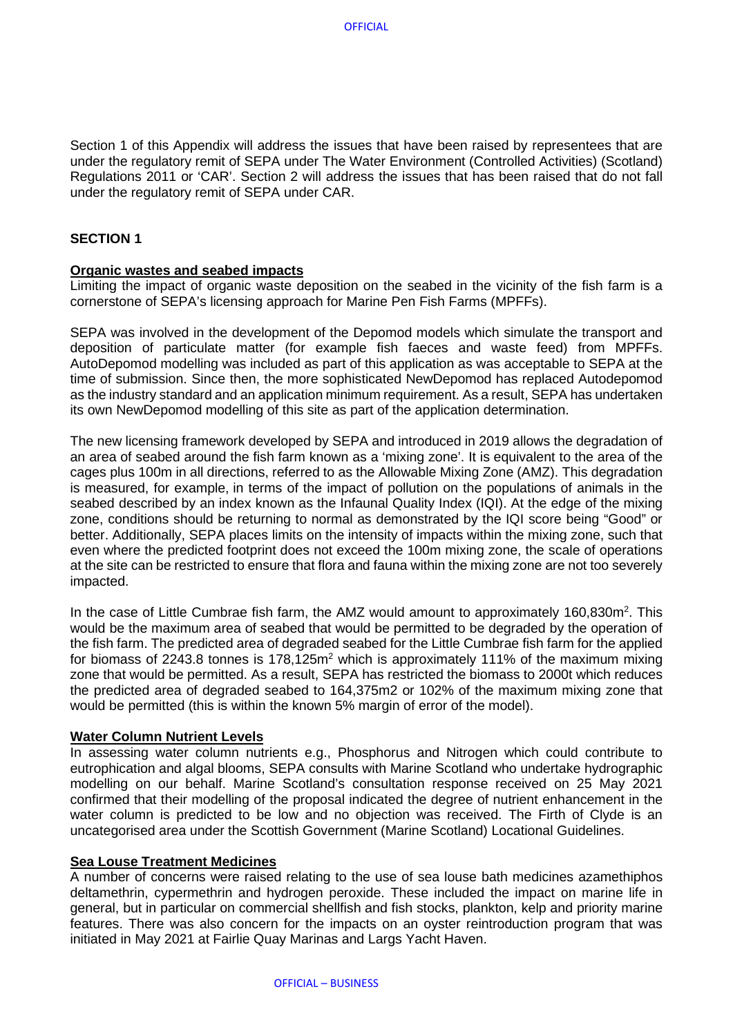Section 1 of this Appendix will address the issues that have been raised by representees that are under the regulatory remit of SEPA under The Water Environment (Controlled Activities) (Scotland) Regulations 2011 or 'CAR'. Section 2 will address the issues that has been raised that do not fall under the regulatory remit of SEPA under CAR.

## **SECTION 1**

#### **Organic wastes and seabed impacts**

Limiting the impact of organic waste deposition on the seabed in the vicinity of the fish farm is a cornerstone of SEPA's licensing approach for Marine Pen Fish Farms (MPFFs).

SEPA was involved in the development of the Depomod models which simulate the transport and deposition of particulate matter (for example fish faeces and waste feed) from MPFFs. AutoDepomod modelling was included as part of this application as was acceptable to SEPA at the time of submission. Since then, the more sophisticated NewDepomod has replaced Autodepomod as the industry standard and an application minimum requirement. As a result, SEPA has undertaken its own NewDepomod modelling of this site as part of the application determination.

The new licensing framework developed by SEPA and introduced in 2019 allows the degradation of an area of seabed around the fish farm known as a 'mixing zone'. It is equivalent to the area of the cages plus 100m in all directions, referred to as the Allowable Mixing Zone (AMZ). This degradation is measured, for example, in terms of the impact of pollution on the populations of animals in the seabed described by an index known as the Infaunal Quality Index (IQI). At the edge of the mixing zone, conditions should be returning to normal as demonstrated by the IQI score being "Good" or better. Additionally, SEPA places limits on the intensity of impacts within the mixing zone, such that even where the predicted footprint does not exceed the 100m mixing zone, the scale of operations at the site can be restricted to ensure that flora and fauna within the mixing zone are not too severely impacted.

In the case of Little Cumbrae fish farm, the AMZ would amount to approximately 160,830m<sup>2</sup>. This would be the maximum area of seabed that would be permitted to be degraded by the operation of the fish farm. The predicted area of degraded seabed for the Little Cumbrae fish farm for the applied for biomass of 2243.8 tonnes is  $178.125$  m<sup>2</sup> which is approximately 111% of the maximum mixing zone that would be permitted. As a result, SEPA has restricted the biomass to 2000t which reduces the predicted area of degraded seabed to 164,375m2 or 102% of the maximum mixing zone that would be permitted (this is within the known 5% margin of error of the model).

#### **Water Column Nutrient Levels**

In assessing water column nutrients e.g., Phosphorus and Nitrogen which could contribute to eutrophication and algal blooms, SEPA consults with Marine Scotland who undertake hydrographic modelling on our behalf. Marine Scotland's consultation response received on 25 May 2021 confirmed that their modelling of the proposal indicated the degree of nutrient enhancement in the water column is predicted to be low and no objection was received. The Firth of Clyde is an uncategorised area under the Scottish Government (Marine Scotland) Locational Guidelines.

#### **Sea Louse Treatment Medicines**

A number of concerns were raised relating to the use of sea louse bath medicines azamethiphos deltamethrin, cypermethrin and hydrogen peroxide. These included the impact on marine life in general, but in particular on commercial shellfish and fish stocks, plankton, kelp and priority marine features. There was also concern for the impacts on an oyster reintroduction program that was initiated in May 2021 at Fairlie Quay Marinas and Largs Yacht Haven.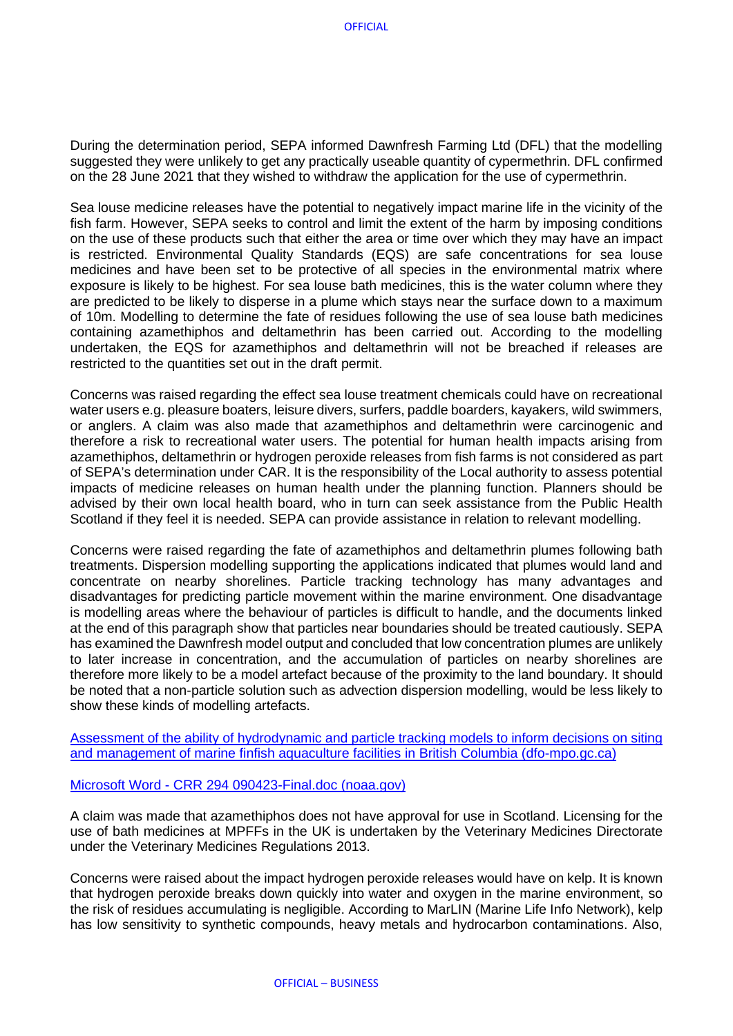During the determination period, SEPA informed Dawnfresh Farming Ltd (DFL) that the modelling suggested they were unlikely to get any practically useable quantity of cypermethrin. DFL confirmed on the 28 June 2021 that they wished to withdraw the application for the use of cypermethrin.

Sea louse medicine releases have the potential to negatively impact marine life in the vicinity of the fish farm. However, SEPA seeks to control and limit the extent of the harm by imposing conditions on the use of these products such that either the area or time over which they may have an impact is restricted. Environmental Quality Standards (EQS) are safe concentrations for sea louse medicines and have been set to be protective of all species in the environmental matrix where exposure is likely to be highest. For sea louse bath medicines, this is the water column where they are predicted to be likely to disperse in a plume which stays near the surface down to a maximum of 10m. Modelling to determine the fate of residues following the use of sea louse bath medicines containing azamethiphos and deltamethrin has been carried out. According to the modelling undertaken, the EQS for azamethiphos and deltamethrin will not be breached if releases are restricted to the quantities set out in the draft permit.

Concerns was raised regarding the effect sea louse treatment chemicals could have on recreational water users e.g. pleasure boaters, leisure divers, surfers, paddle boarders, kayakers, wild swimmers, or anglers. A claim was also made that azamethiphos and deltamethrin were carcinogenic and therefore a risk to recreational water users. The potential for human health impacts arising from azamethiphos, deltamethrin or hydrogen peroxide releases from fish farms is not considered as part of SEPA's determination under CAR. It is the responsibility of the Local authority to assess potential impacts of medicine releases on human health under the planning function. Planners should be advised by their own local health board, who in turn can seek assistance from the Public Health Scotland if they feel it is needed. SEPA can provide assistance in relation to relevant modelling.

Concerns were raised regarding the fate of azamethiphos and deltamethrin plumes following bath treatments. Dispersion modelling supporting the applications indicated that plumes would land and concentrate on nearby shorelines. Particle tracking technology has many advantages and disadvantages for predicting particle movement within the marine environment. One disadvantage is modelling areas where the behaviour of particles is difficult to handle, and the documents linked at the end of this paragraph show that particles near boundaries should be treated cautiously. SEPA has examined the Dawnfresh model output and concluded that low concentration plumes are unlikely to later increase in concentration, and the accumulation of particles on nearby shorelines are therefore more likely to be a model artefact because of the proximity to the land boundary. It should be noted that a non-particle solution such as advection dispersion modelling, would be less likely to show these kinds of modelling artefacts.

[Assessment of the ability of hydrodynamic and particle tracking models to inform decisions on siting](https://waves-vagues.dfo-mpo.gc.ca/Library/40712679.pdf)  [and management of marine finfish aquaculture facilities in British Columbia \(dfo-mpo.gc.ca\)](https://waves-vagues.dfo-mpo.gc.ca/Library/40712679.pdf)

Microsoft Word - [CRR 294 090423-Final.doc \(noaa.gov\)](https://www.pmel.noaa.gov/foci/publications/2009/bric0722.pdf)

A claim was made that azamethiphos does not have approval for use in Scotland. Licensing for the use of bath medicines at MPFFs in the UK is undertaken by the Veterinary Medicines Directorate under the Veterinary Medicines Regulations 2013.

Concerns were raised about the impact hydrogen peroxide releases would have on kelp. It is known that hydrogen peroxide breaks down quickly into water and oxygen in the marine environment, so the risk of residues accumulating is negligible. According to MarLIN (Marine Life Info Network), kelp has low sensitivity to synthetic compounds, heavy metals and hydrocarbon contaminations. Also,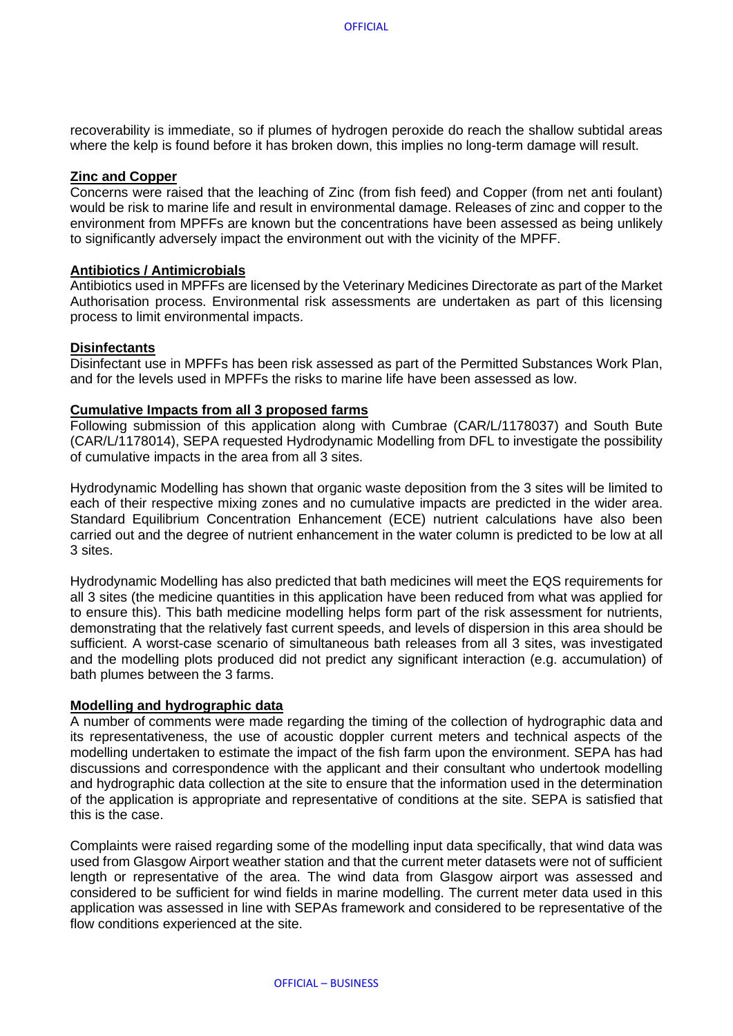recoverability is immediate, so if plumes of hydrogen peroxide do reach the shallow subtidal areas where the kelp is found before it has broken down, this implies no long-term damage will result.

#### **Zinc and Copper**

Concerns were raised that the leaching of Zinc (from fish feed) and Copper (from net anti foulant) would be risk to marine life and result in environmental damage. Releases of zinc and copper to the environment from MPFFs are known but the concentrations have been assessed as being unlikely to significantly adversely impact the environment out with the vicinity of the MPFF.

## **Antibiotics / Antimicrobials**

Antibiotics used in MPFFs are licensed by the Veterinary Medicines Directorate as part of the Market Authorisation process. Environmental risk assessments are undertaken as part of this licensing process to limit environmental impacts.

## **Disinfectants**

Disinfectant use in MPFFs has been risk assessed as part of the Permitted Substances Work Plan, and for the levels used in MPFFs the risks to marine life have been assessed as low.

## **Cumulative Impacts from all 3 proposed farms**

Following submission of this application along with Cumbrae (CAR/L/1178037) and South Bute (CAR/L/1178014), SEPA requested Hydrodynamic Modelling from DFL to investigate the possibility of cumulative impacts in the area from all 3 sites.

Hydrodynamic Modelling has shown that organic waste deposition from the 3 sites will be limited to each of their respective mixing zones and no cumulative impacts are predicted in the wider area. Standard Equilibrium Concentration Enhancement (ECE) nutrient calculations have also been carried out and the degree of nutrient enhancement in the water column is predicted to be low at all 3 sites.

Hydrodynamic Modelling has also predicted that bath medicines will meet the EQS requirements for all 3 sites (the medicine quantities in this application have been reduced from what was applied for to ensure this). This bath medicine modelling helps form part of the risk assessment for nutrients, demonstrating that the relatively fast current speeds, and levels of dispersion in this area should be sufficient. A worst-case scenario of simultaneous bath releases from all 3 sites, was investigated and the modelling plots produced did not predict any significant interaction (e.g. accumulation) of bath plumes between the 3 farms.

#### **Modelling and hydrographic data**

A number of comments were made regarding the timing of the collection of hydrographic data and its representativeness, the use of acoustic doppler current meters and technical aspects of the modelling undertaken to estimate the impact of the fish farm upon the environment. SEPA has had discussions and correspondence with the applicant and their consultant who undertook modelling and hydrographic data collection at the site to ensure that the information used in the determination of the application is appropriate and representative of conditions at the site. SEPA is satisfied that this is the case.

Complaints were raised regarding some of the modelling input data specifically, that wind data was used from Glasgow Airport weather station and that the current meter datasets were not of sufficient length or representative of the area. The wind data from Glasgow airport was assessed and considered to be sufficient for wind fields in marine modelling. The current meter data used in this application was assessed in line with SEPAs framework and considered to be representative of the flow conditions experienced at the site.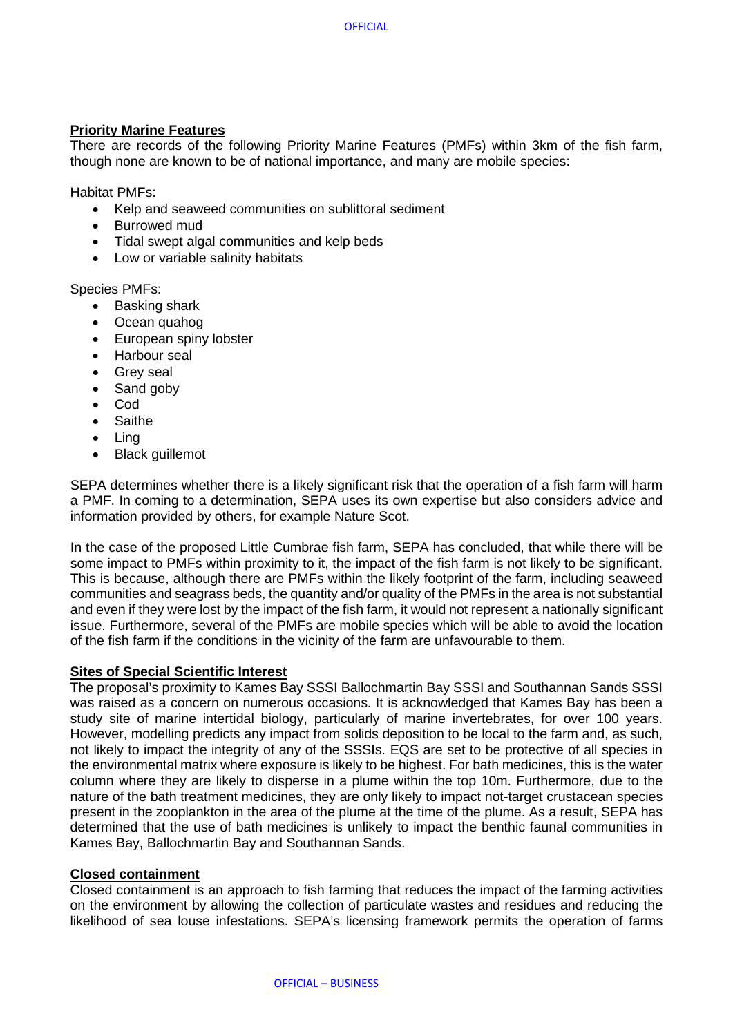## **Priority Marine Features**

There are records of the following Priority Marine Features (PMFs) within 3km of the fish farm, though none are known to be of national importance, and many are mobile species:

Habitat PMFs:

- Kelp and seaweed communities on sublittoral sediment
- Burrowed mud
- Tidal swept algal communities and kelp beds
- Low or variable salinity habitats

Species PMFs:

- Basking shark
- Ocean quahog
- European spiny lobster
- Harbour seal
- Grev seal
- Sand goby
- Cod
- Saithe
- Ling
- Black guillemot

SEPA determines whether there is a likely significant risk that the operation of a fish farm will harm a PMF. In coming to a determination, SEPA uses its own expertise but also considers advice and information provided by others, for example Nature Scot.

In the case of the proposed Little Cumbrae fish farm, SEPA has concluded, that while there will be some impact to PMFs within proximity to it, the impact of the fish farm is not likely to be significant. This is because, although there are PMFs within the likely footprint of the farm, including seaweed communities and seagrass beds, the quantity and/or quality of the PMFs in the area is not substantial and even if they were lost by the impact of the fish farm, it would not represent a nationally significant issue. Furthermore, several of the PMFs are mobile species which will be able to avoid the location of the fish farm if the conditions in the vicinity of the farm are unfavourable to them.

#### **Sites of Special Scientific Interest**

The proposal's proximity to Kames Bay SSSI Ballochmartin Bay SSSI and Southannan Sands SSSI was raised as a concern on numerous occasions. It is acknowledged that Kames Bay has been a study site of marine intertidal biology, particularly of marine invertebrates, for over 100 years. However, modelling predicts any impact from solids deposition to be local to the farm and, as such, not likely to impact the integrity of any of the SSSIs. EQS are set to be protective of all species in the environmental matrix where exposure is likely to be highest. For bath medicines, this is the water column where they are likely to disperse in a plume within the top 10m. Furthermore, due to the nature of the bath treatment medicines, they are only likely to impact not-target crustacean species present in the zooplankton in the area of the plume at the time of the plume. As a result, SEPA has determined that the use of bath medicines is unlikely to impact the benthic faunal communities in Kames Bay, Ballochmartin Bay and Southannan Sands.

#### **Closed containment**

Closed containment is an approach to fish farming that reduces the impact of the farming activities on the environment by allowing the collection of particulate wastes and residues and reducing the likelihood of sea louse infestations. SEPA's licensing framework permits the operation of farms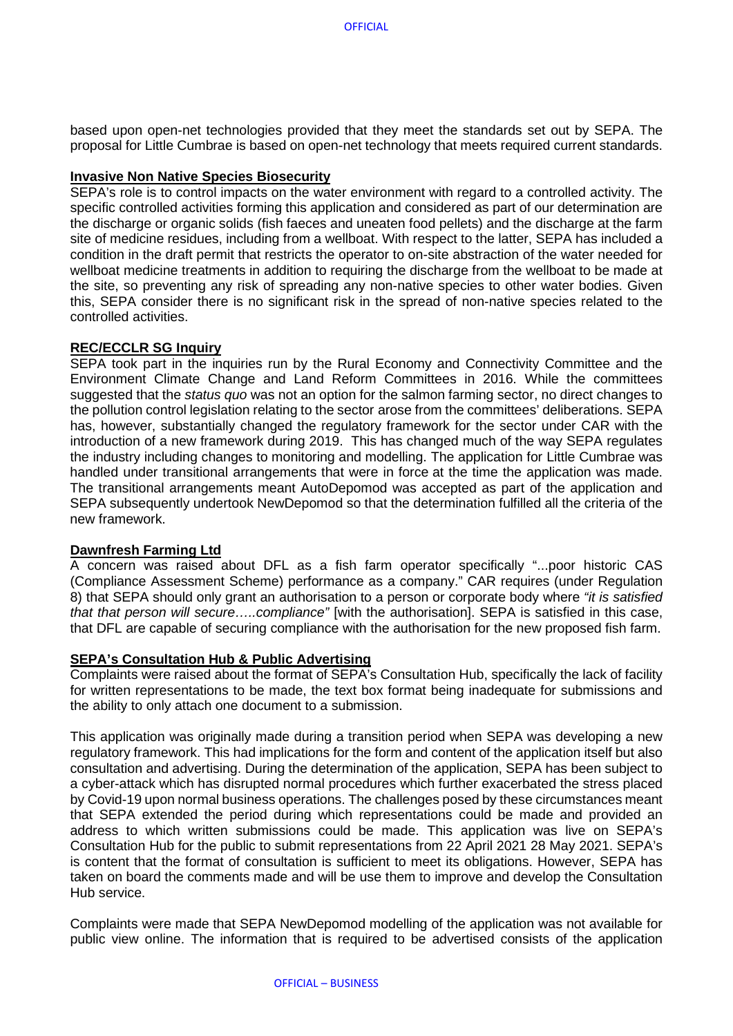based upon open-net technologies provided that they meet the standards set out by SEPA. The proposal for Little Cumbrae is based on open-net technology that meets required current standards.

## **Invasive Non Native Species Biosecurity**

SEPA's role is to control impacts on the water environment with regard to a controlled activity. The specific controlled activities forming this application and considered as part of our determination are the discharge or organic solids (fish faeces and uneaten food pellets) and the discharge at the farm site of medicine residues, including from a wellboat. With respect to the latter, SEPA has included a condition in the draft permit that restricts the operator to on-site abstraction of the water needed for wellboat medicine treatments in addition to requiring the discharge from the wellboat to be made at the site, so preventing any risk of spreading any non-native species to other water bodies. Given this, SEPA consider there is no significant risk in the spread of non-native species related to the controlled activities.

#### **REC/ECCLR SG Inquiry**

SEPA took part in the inquiries run by the Rural Economy and Connectivity Committee and the Environment Climate Change and Land Reform Committees in 2016. While the committees suggested that the *status quo* was not an option for the salmon farming sector, no direct changes to the pollution control legislation relating to the sector arose from the committees' deliberations. SEPA has, however, substantially changed the regulatory framework for the sector under CAR with the introduction of a new framework during 2019. This has changed much of the way SEPA regulates the industry including changes to monitoring and modelling. The application for Little Cumbrae was handled under transitional arrangements that were in force at the time the application was made. The transitional arrangements meant AutoDepomod was accepted as part of the application and SEPA subsequently undertook NewDepomod so that the determination fulfilled all the criteria of the new framework.

#### **Dawnfresh Farming Ltd**

A concern was raised about DFL as a fish farm operator specifically "...poor historic CAS (Compliance Assessment Scheme) performance as a company." CAR requires (under Regulation 8) that SEPA should only grant an authorisation to a person or corporate body where *"it is satisfied that that person will secure…..compliance"* [with the authorisation]. SEPA is satisfied in this case, that DFL are capable of securing compliance with the authorisation for the new proposed fish farm.

#### **SEPA's Consultation Hub & Public Advertising**

Complaints were raised about the format of SEPA's Consultation Hub, specifically the lack of facility for written representations to be made, the text box format being inadequate for submissions and the ability to only attach one document to a submission.

This application was originally made during a transition period when SEPA was developing a new regulatory framework. This had implications for the form and content of the application itself but also consultation and advertising. During the determination of the application, SEPA has been subject to a cyber-attack which has disrupted normal procedures which further exacerbated the stress placed by Covid-19 upon normal business operations. The challenges posed by these circumstances meant that SEPA extended the period during which representations could be made and provided an address to which written submissions could be made. This application was live on SEPA's Consultation Hub for the public to submit representations from 22 April 2021 28 May 2021. SEPA's is content that the format of consultation is sufficient to meet its obligations. However, SEPA has taken on board the comments made and will be use them to improve and develop the Consultation Hub service.

Complaints were made that SEPA NewDepomod modelling of the application was not available for public view online. The information that is required to be advertised consists of the application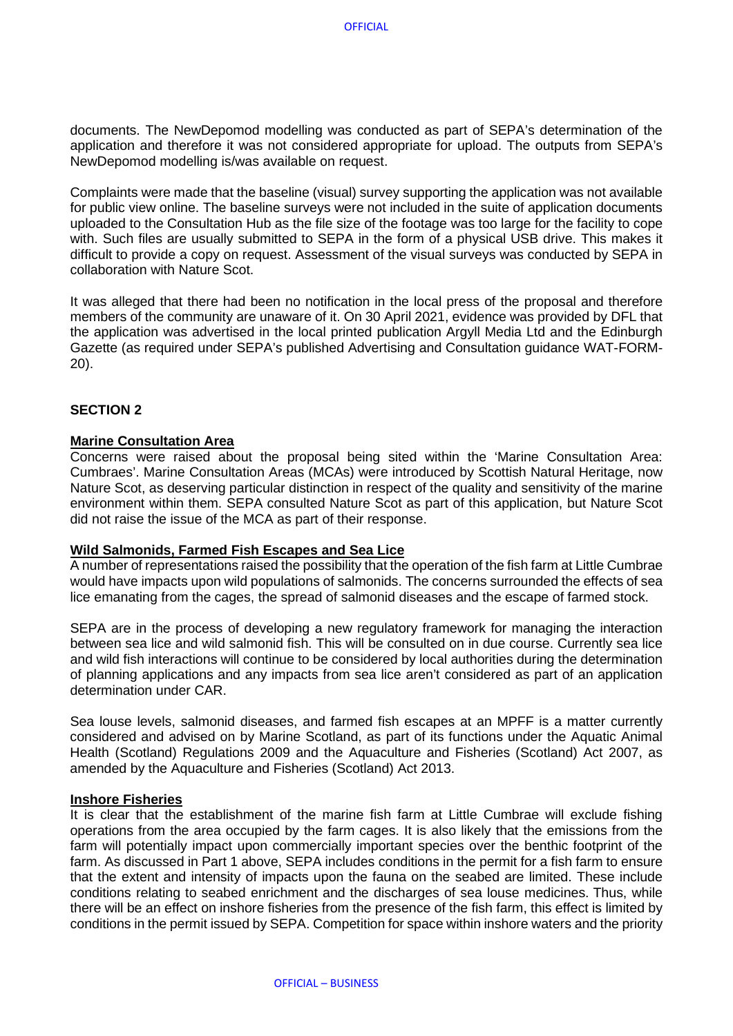documents. The NewDepomod modelling was conducted as part of SEPA's determination of the application and therefore it was not considered appropriate for upload. The outputs from SEPA's NewDepomod modelling is/was available on request.

Complaints were made that the baseline (visual) survey supporting the application was not available for public view online. The baseline surveys were not included in the suite of application documents uploaded to the Consultation Hub as the file size of the footage was too large for the facility to cope with. Such files are usually submitted to SEPA in the form of a physical USB drive. This makes it difficult to provide a copy on request. Assessment of the visual surveys was conducted by SEPA in collaboration with Nature Scot.

It was alleged that there had been no notification in the local press of the proposal and therefore members of the community are unaware of it. On 30 April 2021, evidence was provided by DFL that the application was advertised in the local printed publication Argyll Media Ltd and the Edinburgh Gazette (as required under SEPA's published Advertising and Consultation guidance WAT-FORM-20).

## **SECTION 2**

#### **Marine Consultation Area**

Concerns were raised about the proposal being sited within the 'Marine Consultation Area: Cumbraes'. Marine Consultation Areas (MCAs) were introduced by Scottish Natural Heritage, now Nature Scot, as deserving particular distinction in respect of the quality and sensitivity of the marine environment within them. SEPA consulted Nature Scot as part of this application, but Nature Scot did not raise the issue of the MCA as part of their response.

#### **Wild Salmonids, Farmed Fish Escapes and Sea Lice**

A number of representations raised the possibility that the operation of the fish farm at Little Cumbrae would have impacts upon wild populations of salmonids. The concerns surrounded the effects of sea lice emanating from the cages, the spread of salmonid diseases and the escape of farmed stock.

SEPA are in the process of developing a new regulatory framework for managing the interaction between sea lice and wild salmonid fish. This will be consulted on in due course. Currently sea lice and wild fish interactions will continue to be considered by local authorities during the determination of planning applications and any impacts from sea lice aren't considered as part of an application determination under CAR.

Sea louse levels, salmonid diseases, and farmed fish escapes at an MPFF is a matter currently considered and advised on by Marine Scotland, as part of its functions under the Aquatic Animal Health (Scotland) Regulations 2009 and the Aquaculture and Fisheries (Scotland) Act 2007, as amended by the Aquaculture and Fisheries (Scotland) Act 2013.

#### **Inshore Fisheries**

It is clear that the establishment of the marine fish farm at Little Cumbrae will exclude fishing operations from the area occupied by the farm cages. It is also likely that the emissions from the farm will potentially impact upon commercially important species over the benthic footprint of the farm. As discussed in Part 1 above, SEPA includes conditions in the permit for a fish farm to ensure that the extent and intensity of impacts upon the fauna on the seabed are limited. These include conditions relating to seabed enrichment and the discharges of sea louse medicines. Thus, while there will be an effect on inshore fisheries from the presence of the fish farm, this effect is limited by conditions in the permit issued by SEPA. Competition for space within inshore waters and the priority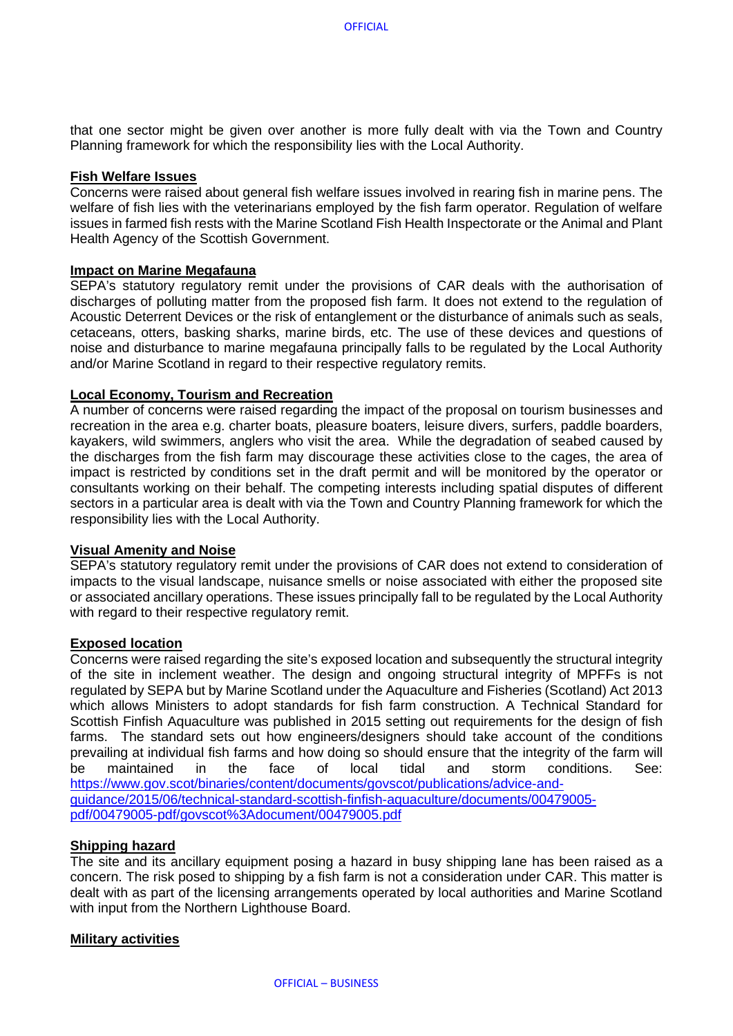that one sector might be given over another is more fully dealt with via the Town and Country Planning framework for which the responsibility lies with the Local Authority.

## **Fish Welfare Issues**

Concerns were raised about general fish welfare issues involved in rearing fish in marine pens. The welfare of fish lies with the veterinarians employed by the fish farm operator. Regulation of welfare issues in farmed fish rests with the Marine Scotland Fish Health Inspectorate or the Animal and Plant Health Agency of the Scottish Government.

#### **Impact on Marine Megafauna**

SEPA's statutory regulatory remit under the provisions of CAR deals with the authorisation of discharges of polluting matter from the proposed fish farm. It does not extend to the regulation of Acoustic Deterrent Devices or the risk of entanglement or the disturbance of animals such as seals, cetaceans, otters, basking sharks, marine birds, etc. The use of these devices and questions of noise and disturbance to marine megafauna principally falls to be regulated by the Local Authority and/or Marine Scotland in regard to their respective regulatory remits.

#### **Local Economy, Tourism and Recreation**

A number of concerns were raised regarding the impact of the proposal on tourism businesses and recreation in the area e.g. charter boats, pleasure boaters, leisure divers, surfers, paddle boarders, kayakers, wild swimmers, anglers who visit the area. While the degradation of seabed caused by the discharges from the fish farm may discourage these activities close to the cages, the area of impact is restricted by conditions set in the draft permit and will be monitored by the operator or consultants working on their behalf. The competing interests including spatial disputes of different sectors in a particular area is dealt with via the Town and Country Planning framework for which the responsibility lies with the Local Authority.

#### **Visual Amenity and Noise**

SEPA's statutory regulatory remit under the provisions of CAR does not extend to consideration of impacts to the visual landscape, nuisance smells or noise associated with either the proposed site or associated ancillary operations. These issues principally fall to be regulated by the Local Authority with regard to their respective regulatory remit.

#### **Exposed location**

Concerns were raised regarding the site's exposed location and subsequently the structural integrity of the site in inclement weather. The design and ongoing structural integrity of MPFFs is not regulated by SEPA but by Marine Scotland under the Aquaculture and Fisheries (Scotland) Act 2013 which allows Ministers to adopt standards for fish farm construction. A Technical Standard for Scottish Finfish Aquaculture was published in 2015 setting out requirements for the design of fish farms. The standard sets out how engineers/designers should take account of the conditions prevailing at individual fish farms and how doing so should ensure that the integrity of the farm will be maintained in the face of local tidal and storm conditions. See: [https://www.gov.scot/binaries/content/documents/govscot/publications/advice-and](https://www.gov.scot/binaries/content/documents/govscot/publications/advice-and-guidance/2015/06/technical-standard-scottish-finfish-aquaculture/documents/00479005-pdf/00479005-pdf/govscot%3Adocument/00479005.pdf)[guidance/2015/06/technical-standard-scottish-finfish-aquaculture/documents/00479005](https://www.gov.scot/binaries/content/documents/govscot/publications/advice-and-guidance/2015/06/technical-standard-scottish-finfish-aquaculture/documents/00479005-pdf/00479005-pdf/govscot%3Adocument/00479005.pdf) [pdf/00479005-pdf/govscot%3Adocument/00479005.pdf](https://www.gov.scot/binaries/content/documents/govscot/publications/advice-and-guidance/2015/06/technical-standard-scottish-finfish-aquaculture/documents/00479005-pdf/00479005-pdf/govscot%3Adocument/00479005.pdf)

#### **Shipping hazard**

The site and its ancillary equipment posing a hazard in busy shipping lane has been raised as a concern. The risk posed to shipping by a fish farm is not a consideration under CAR. This matter is dealt with as part of the licensing arrangements operated by local authorities and Marine Scotland with input from the Northern Lighthouse Board.

#### **Military activities**